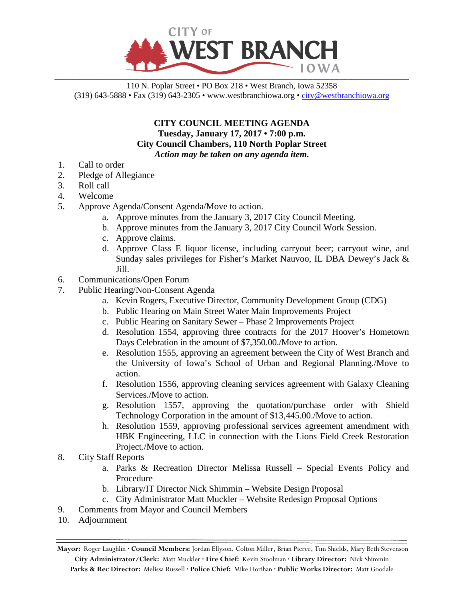

110 N. Poplar Street • PO Box 218 • West Branch, Iowa 52358 (319) 643-5888 • Fax (319) 643-2305 • www.westbranchiowa.org •  $\text{city@westbranchiowa.org}$ 

## **CITY COUNCIL MEETING AGENDA Tuesday, January 17, 2017 • 7:00 p.m. City Council Chambers, 110 North Poplar Street** *Action may be taken on any agenda item.*

- 1. Call to order
- 2. Pledge of Allegiance
- 3. Roll call
- 4. Welcome
- 5. Approve Agenda/Consent Agenda/Move to action.
	- a. Approve minutes from the January 3, 2017 City Council Meeting.
	- b. Approve minutes from the January 3, 2017 City Council Work Session.
	- c. Approve claims.
	- d. Approve Class E liquor license, including carryout beer; carryout wine, and Sunday sales privileges for Fisher's Market Nauvoo, IL DBA Dewey's Jack & Jill.
- 6. Communications/Open Forum
- 7. Public Hearing/Non-Consent Agenda
	- a. Kevin Rogers, Executive Director, Community Development Group (CDG)
	- b. Public Hearing on Main Street Water Main Improvements Project
	- c. Public Hearing on Sanitary Sewer Phase 2 Improvements Project
	- d. Resolution 1554, approving three contracts for the 2017 Hoover's Hometown Days Celebration in the amount of \$7,350.00./Move to action.
	- e. Resolution 1555, approving an agreement between the City of West Branch and the University of Iowa's School of Urban and Regional Planning./Move to action.
	- f. Resolution 1556, approving cleaning services agreement with Galaxy Cleaning Services./Move to action.
	- g. Resolution 1557, approving the quotation/purchase order with Shield Technology Corporation in the amount of \$13,445.00./Move to action.
	- h. Resolution 1559, approving professional services agreement amendment with HBK Engineering, LLC in connection with the Lions Field Creek Restoration Project./Move to action.
- 8. City Staff Reports
	- a. Parks & Recreation Director Melissa Russell Special Events Policy and Procedure
	- b. Library/IT Director Nick Shimmin Website Design Proposal
	- c. City Administrator Matt Muckler Website Redesign Proposal Options
- 9. Comments from Mayor and Council Members
- 10. Adjournment

**Mayor:** Roger Laughlin **· Council Members:** Jordan Ellyson, Colton Miller, Brian Pierce, Tim Shields, Mary Beth Stevenson **City Administrator/Clerk:** Matt Muckler **· Fire Chief:** Kevin Stoolman **· Library Director:** Nick Shimmin **Parks & Rec Director:** Melissa Russell **· Police Chief:** Mike Horihan **· Public Works Director:** Matt Goodale